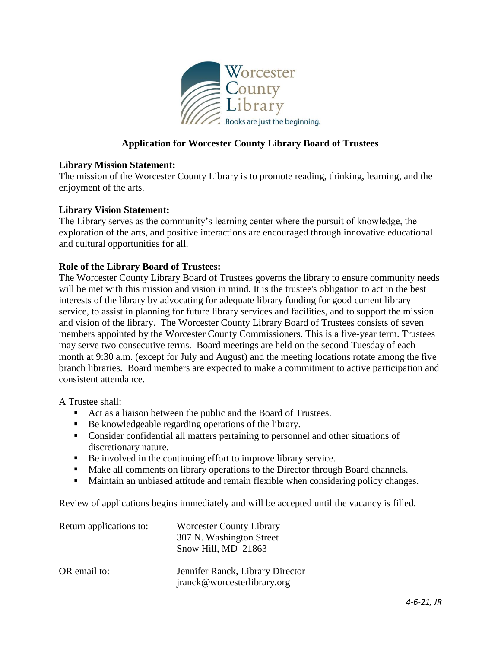

## **Application for Worcester County Library Board of Trustees**

## **Library Mission Statement:**

The mission of the Worcester County Library is to promote reading, thinking, learning, and the enjoyment of the arts.

## **Library Vision Statement:**

The Library serves as the community's learning center where the pursuit of knowledge, the exploration of the arts, and positive interactions are encouraged through innovative educational and cultural opportunities for all.

## **Role of the Library Board of Trustees:**

The Worcester County Library Board of Trustees governs the library to ensure community needs will be met with this mission and vision in mind. It is the trustee's obligation to act in the best interests of the library by advocating for adequate library funding for good current library service, to assist in planning for future library services and facilities, and to support the mission and vision of the library. The Worcester County Library Board of Trustees consists of seven members appointed by the Worcester County Commissioners. This is a five-year term. Trustees may serve two consecutive terms. Board meetings are held on the second Tuesday of each month at 9:30 a.m. (except for July and August) and the meeting locations rotate among the five branch libraries. Board members are expected to make a commitment to active participation and consistent attendance.

A Trustee shall:

- Act as a liaison between the public and the Board of Trustees.
- Be knowledgeable regarding operations of the library.
- Consider confidential all matters pertaining to personnel and other situations of discretionary nature.
- Be involved in the continuing effort to improve library service.
- Make all comments on library operations to the Director through Board channels.
- Maintain an unbiased attitude and remain flexible when considering policy changes.

Review of applications begins immediately and will be accepted until the vacancy is filled.

| Return applications to: | <b>Worcester County Library</b>                                 |
|-------------------------|-----------------------------------------------------------------|
|                         | 307 N. Washington Street                                        |
|                         | Snow Hill, MD 21863                                             |
| OR email to:            | Jennifer Ranck, Library Director<br>jranck@worcesterlibrary.org |